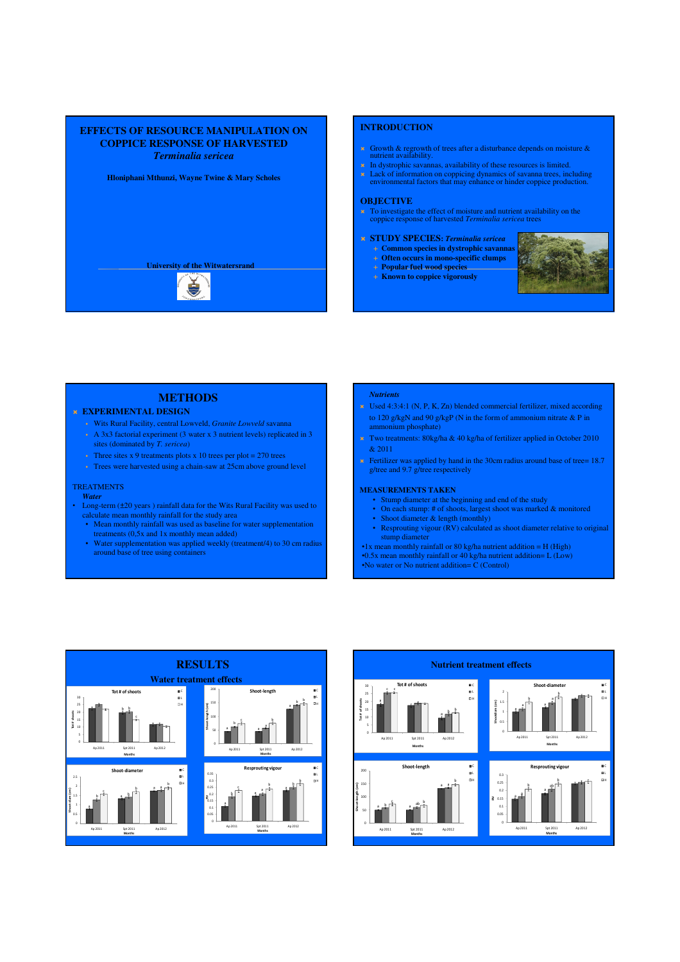

## **INTRODUCTION**

- Growth & regrowth of trees after a disturbance depends on moisture & nutrient availability.
- $\star$  In dystrophic savannas, availability of these resources is limited.
- Lack of information on coppicing dynamics of savanna trees, including environmental factors that may enhance or hinder coppice production.

### **OBJECTIVE**

- To investigate the effect of moisture and nutrient availability on the coppice response of harvested *Terminalia sericea* trees
- **STUDY SPECIES:** *Terminalia sericea*
	- **Common species in dystrophic savannas**
	- **Often occurs in mono-specific clumps Popular fuel wood species**
	-
	- **Known to coppice vigorously**



# **METHODS** *Nutrients*

# **EXPERIMENTAL DESIGN**

- Wits Rural Facility, central Lowveld, *Granite Lowveld* savanna
- A 3x3 factorial experiment (3 water x 3 nutrient levels) replicated in 3 sites (dominated by *T. sericea*)
- Three sites x 9 treatments plots x 10 trees per plot =  $270$  trees
- Trees were harvested using a chain-saw at 25cm above ground level

### **TREATMENTS**

### *Water*

- Long-term (±20 years ) rainfall data for the Wits Rural Facility was used to calculate mean monthly rainfall for the study area
	- Mean monthly rainfall was used as baseline for water supplementation treatments (0,5x and 1x monthly mean added)
	- Water supplementation was applied weekly (treatment/4) to 30 cm radius around base of tree using containers

- Used 4:3:4:1 (N, P, K, Zn) blended commercial fertilizer, mixed according to 120 g/kgN and 90 g/kgP (N in the form of ammonium nitrate & P in ammonium phosphate)
- Two treatments:  $80\text{kg/ha} \& 40 \text{ kg/ha}$  of fertilizer applied in October 2010 & 2011
- **Fertilizer was applied by hand in the 30cm radius around base of tree= 18.7** g/tree and 9.7 g/tree respectively

### **MEASUREMENTS TAKEN**

- Stump diameter at the beginning and end of the study
- On each stump: # of shoots, largest shoot was marked & monitored
- Shoot diameter & length (monthly) • Resprouting vigour (RV) calculated as shoot diameter relative to original stump diameter
- •1x mean monthly rainfall or 80 kg/ha nutrient addition = H (High) •0.5x mean monthly rainfall or 40 kg/ha nutrient addition= L (Low)

•No water or No nutrient addition= C (Control)